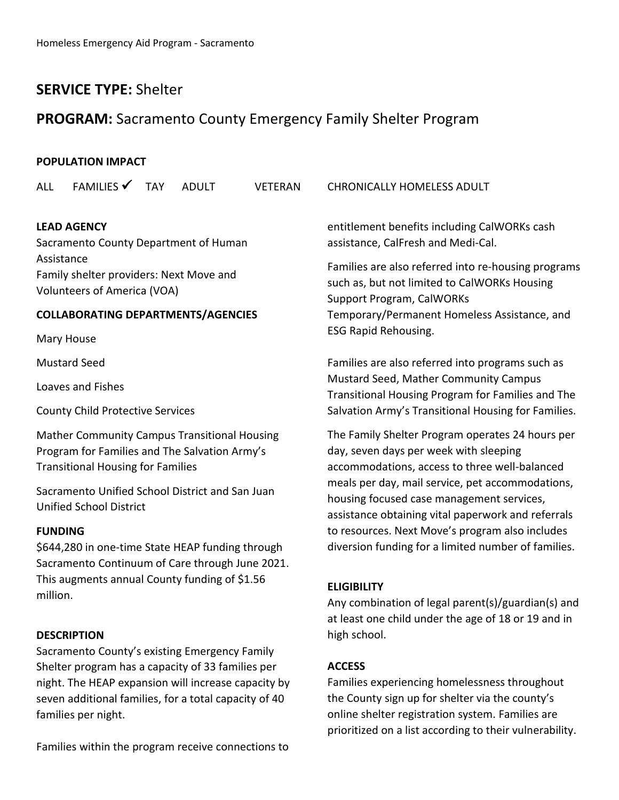## **SERVICE TYPE:** Shelter

## **PROGRAM:** Sacramento County Emergency Family Shelter Program

## **POPULATION IMPACT**

| <b>ALL</b>                                                                                                                                | FAMILIES                                                                      | <b>TAY</b> | <b>ADULT</b> | <b>VETERAN</b> | <b>CHRONICALLY HOMELESS ADULT</b>                                                                                                                                                                                                                                                                  |
|-------------------------------------------------------------------------------------------------------------------------------------------|-------------------------------------------------------------------------------|------------|--------------|----------------|----------------------------------------------------------------------------------------------------------------------------------------------------------------------------------------------------------------------------------------------------------------------------------------------------|
| <b>LEAD AGENCY</b><br>Sacramento County Department of Human                                                                               |                                                                               |            |              |                | entitlement benefits including CalWORKs cash<br>assistance, CalFresh and Medi-Cal.                                                                                                                                                                                                                 |
| Assistance                                                                                                                                |                                                                               |            |              |                |                                                                                                                                                                                                                                                                                                    |
|                                                                                                                                           | Family shelter providers: Next Move and<br><b>Volunteers of America (VOA)</b> |            |              |                | Families are also referred into re-housing programs<br>such as, but not limited to CalWORKs Housing<br><b>Support Program, CalWORKs</b>                                                                                                                                                            |
| <b>COLLABORATING DEPARTMENTS/AGENCIES</b>                                                                                                 |                                                                               |            |              |                | Temporary/Permanent Homeless Assistance, and                                                                                                                                                                                                                                                       |
|                                                                                                                                           | Mary House                                                                    |            |              |                | <b>ESG Rapid Rehousing.</b>                                                                                                                                                                                                                                                                        |
| <b>Mustard Seed</b>                                                                                                                       |                                                                               |            |              |                | Families are also referred into programs such as<br>Mustard Seed, Mather Community Campus<br>Transitional Housing Program for Families and The<br>Salvation Army's Transitional Housing for Families.                                                                                              |
| Loaves and Fishes                                                                                                                         |                                                                               |            |              |                |                                                                                                                                                                                                                                                                                                    |
| <b>County Child Protective Services</b>                                                                                                   |                                                                               |            |              |                |                                                                                                                                                                                                                                                                                                    |
| Mather Community Campus Transitional Housing<br>Program for Families and The Salvation Army's<br><b>Transitional Housing for Families</b> |                                                                               |            |              |                | The Family Shelter Program operates 24 hours per<br>day, seven days per week with sleeping<br>accommodations, access to three well-balanced<br>meals per day, mail service, pet accommodations,<br>housing focused case management services,<br>assistance obtaining vital paperwork and referrals |
| Sacramento Unified School District and San Juan<br><b>Unified School District</b>                                                         |                                                                               |            |              |                |                                                                                                                                                                                                                                                                                                    |
| <b>FUNDING</b>                                                                                                                            |                                                                               |            |              |                | to resources. Next Move's program also includes                                                                                                                                                                                                                                                    |
| \$644,280 in one-time State HEAP funding through<br>Sacramento Continuum of Care through June 2021.                                       |                                                                               |            |              |                | diversion funding for a limited number of families.                                                                                                                                                                                                                                                |
| This augments annual County funding of \$1.56<br>million.                                                                                 |                                                                               |            |              |                | <b>ELIGIBILITY</b><br>Any combination of legal parent(s)/guardian(s) and<br>at least one child under the age of 18 or 19 and in                                                                                                                                                                    |
| <b>DESCRIPTION</b>                                                                                                                        |                                                                               |            |              |                | high school.                                                                                                                                                                                                                                                                                       |
|                                                                                                                                           | Sacramento County's existing Emergency Family                                 |            |              |                |                                                                                                                                                                                                                                                                                                    |
| Shelter program has a capacity of 33 families per                                                                                         |                                                                               |            |              |                | <b>ACCESS</b>                                                                                                                                                                                                                                                                                      |
| night. The HEAP expansion will increase capacity by                                                                                       |                                                                               |            |              |                | Families experiencing homelessness throughout                                                                                                                                                                                                                                                      |
| seven additional families, for a total capacity of 40                                                                                     |                                                                               |            |              |                | the County sign up for shelter via the county's                                                                                                                                                                                                                                                    |

online shelter registration system. Families are prioritized on a list according to their vulnerability.

Families within the program receive connections to

families per night.